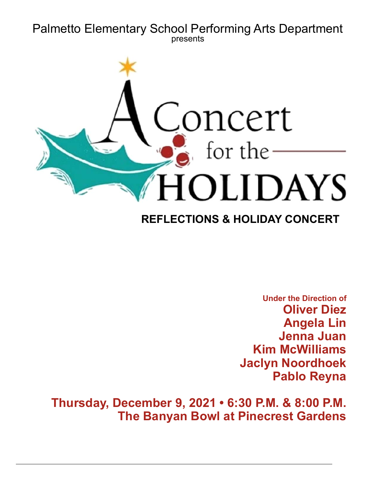# **Palmetto Elementary School Performing Arts Department** presents



# **REFLECTIONS & HOLIDAY CONCERT**

**Under the Direction of Oliver Diez Angela Lin Jenna Juan Kim McWilliams Jaclyn Noordhoek Pablo Reyna** 

Thursday, December 9, 2021 . 6:30 P.M. & 8:00 P.M. **The Banyan Bowl at Pinecrest Gardens**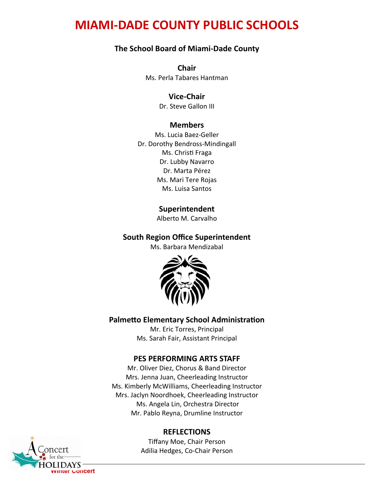# **MIAMI-DADE COUNTY PUBLIC SCHOOLS**

#### **The School Board of Miami-Dade County**

Chair Ms. Perla Tabares Hantman

#### **Vice-Chair**

Dr. Steve Gallon III

#### **Members**

Ms. Lucia Baez-Geller Dr. Dorothy Bendross-Mindingall Ms. Christi Fraga Dr. Lubby Navarro Dr. Marta Pérez Ms. Mari Tere Rojas Ms. Luisa Santos

#### **Superintendent**

Alberto M. Carvalho

#### **South Region Office Superintendent**

Ms. Barbara Mendizabal



#### **Palmetto Elementary School Administration**

Mr. Eric Torres, Principal Ms. Sarah Fair, Assistant Principal

#### **PES PERFORMING ARTS STAFF**

Mr. Oliver Diez, Chorus & Band Director Mrs. Jenna Juan, Cheerleading Instructor Ms. Kimberly McWilliams, Cheerleading Instructor Mrs. Jaclyn Noordhoek, Cheerleading Instructor Ms. Angela Lin, Orchestra Director Mr. Pablo Reyna, Drumline Instructor

#### **REFLECTIONS**

Tiffany Moe, Chair Person Adilia Hedges, Co-Chair Person

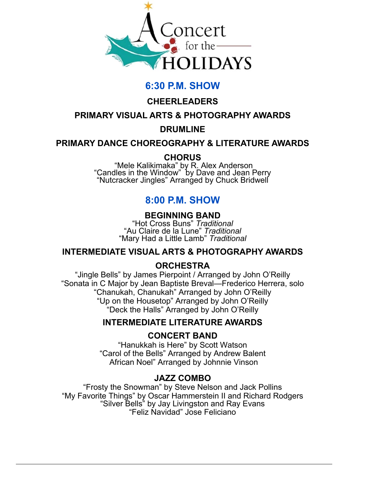

# 6:30 P.M. SHOW

# $CHEERLEADERS$

## **PRIMARY VISUAL ARTS & PHOTOGRAPHY AWARDS**

#### **DRUMLINE**

#### **PRIMARY DANCE CHOREOGRAPHY & LITERATURE AWARDS**

## **CHORUS**

"Mele Kalikimaka" by R. Alex Anderson<br>Candles in the Window" by Dave and Jean Perry" "Nutcracker Jingles" Arranged by Chuck Bridwell

# 8:00 P.M. SHOW

# **BEGINNING BAND**

**"Hot Cross Buns" Traditional** "Au Claire de la Lune" Traditional "Mary Had a Little Lamb" Traditional

## **INTERMEDIATE VISUAL ARTS & PHOTOGRAPHY AWARDS**

## **ORCHESTRA**

"Jingle Bells" by James Pierpoint / Arranged by John O'Reilly "Sonata in C Major by Jean Baptiste Breval—Frederico Herrera, solo "Chanukah, Chanukah" Arranged by John O'Reilly "Up on the Housetop" Arranged by John O'Reilly "Deck the Halls" Arranged by John O'Reilly

## **INTERMEDIATE LITERATURE AWARDS**

#### **CONCERT BAND**

"Hanukkah is Here" by Scott Watson "Carol of the Bells" Arranged by Andrew Balent African Noel" Arranged by Johnnie Vinson

## **JAZZ COMBO**

"Frosty the Snowman" by Steve Nelson and Jack Pollins "My Favorite Things" by Oscar Hammerstein II and Richard Rodgers "Silver Bells" by Jay Livingston and Ray Evans "Feliz Navidad" Jose Feliciano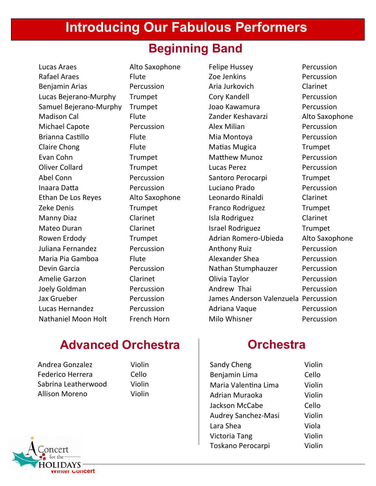# **Introducing Our Fabulous Performers**

# **Beginning Band**

Lucas Araes 
2012 - Alto Saxophone Felipe Hussey Percussion Rafael Araes **Example 26 Bizonia Bizonia Bizonia Arabe Bizonia Zoe Jenkins** Percussion Benjamin Arias **Example 2** Percussion **Aria Jurkovich** Clarinet Lucas Bejerano-Murphy Trumpet Cory Kandell Corection Percussion ^ĂŵƵĞůĞũĞƌĂŶŽͲDƵƌƉŚLJ dƌƵŵƉĞƚ :ŽĂŽ<ĂǁĂŵƵƌĂ WĞƌĐƵƐƐŝŽŶ Dhàn Bhàison Cal **Exercisc Extracha Bhànaca** and Example Tander Keshavarzi Alto Saxophone Dside Disporte Percussion Alex Milian Percussion Brianna Castillo Flute **Miliona Accepts** Milional Mercussion Claire Chong **bis Election Claire Chong bis Claire Chong** Discover Plute and Matias Mugica Evan Cohn Trumpet Matthew Munoz Percussion Chüver Collard **Example 3** Trumpet by Lucas Perez Percussion Abel Conn **Trumpet** Percussion **Santoro Perocarpi** Trumpet /ŶĂĂƌĂĂƩĂ WĞƌĐƵƐƐŝŽŶ >ƵĐŝĂŶŽWƌĂĚŽ WĞƌĐƵƐƐŝŽŶ Ethan De Los Reyes  $\overline{A}$  Alto Saxophone Leonardo Rinaldi Clarinet Zeke Denis **Example Boot de Trumpet** by the Franco Rodriguez **by Trumpet** Manny Diaz Clarinet Clarinet isla Rodriguez Clarinet Mateo Duran **De Clarinet** Clarinet israel Rodriguez Trumpet Rowen Erdody Trumpet Adrian Romero-Ubieda Alto Saxophone Uniana Fernandez **:** Percussion **Anthony Ruiz** Percussion Dh'aria Pia Gamboa di Bute bayan bara diku barang karangar Shea di Percussion Devin Garcia **The Percussion** Percussion Nathan Stumphauzer Percussion Amelie Garzon Clarinet Clarinet Clivia Taylor Percussion Joely Goldman **12. Example 20. In the Constant Constant Percussion** Andrew Thai **Mark Percussion** Jax Grueber : The Percussion Chames Anderson Valenzuela Percussion Lucas Hernandez *Dercussion* Adriana Vaque Percussion Nathaniel Moon Holt French Horn Milo Whisner and Percussion

# **Advanced Orchestra 2018 2018 2018 2029 2029 2029 2029 2029 2029 2029 2029 2029 2029 2029 2029 2029 2029 2029 2029 2029 2029 2029 2029 2029 2029 2029 2029 2029 2029**

| Sandy Cheng                | Violin |
|----------------------------|--------|
| Benjamin Lima              | Cello  |
| Maria Valentina Lima       | Violin |
| Adrian Muraoka             | Violin |
| Jackson McCabe             | Cello  |
| <b>Audrey Sanchez-Masi</b> | Violin |
| Lara Shea                  | Viola  |
| <b>Victoria Tang</b>       | Violin |
| Toskano Perocarpi          | Violin |



Andrea Gonzalez Violin Federico Herrera Cello Sabrina Leatherwood Violin Allison Moreno Violin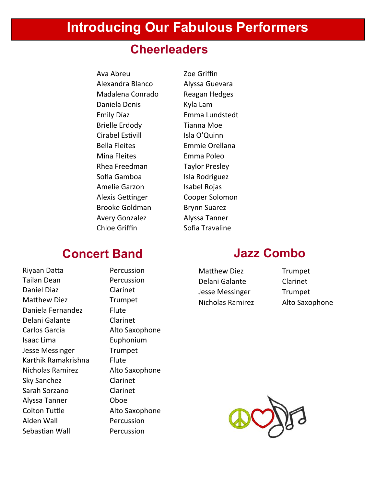# **Introducing Our Fabulous Performers**

# **Cheerleaders**

Ava Abreu Zoe Griffin Alexandra Blanco Alyssa Guevara Madalena Conrado Reagan Hedges Daniela Denis Kyla Lam Emily Díaz Emma Lundstedt Brielle Erdody Tianna Moe Cirabel Estivill lisla O'Quinn Bella Fleites **Emmie Orellana** Mina Fleites **Emma** Poleo Rhea Freedman Taylor Presley Sofia Gamboa / Isla Rodriguez Amelie Garzon Musabel Rojas Alexis Gettinger Cooper Solomon Brooke Goldman Brynn Suarez Avery Gonzalez **Alyssa Tanner** Chloe Griffin Sofia Travaline

# **Concert Band**

Riyaan Datta Percussion Tailan Dean **Dean** Percussion Daniel Diaz Clarinet Matthew Diez **Trumpet** Daniela Fernandez Flute Delani Galante Clarinet Carlos Garcia **Alto Saxophone** Isaac Lima **Euphonium** Utilian Sesse Messinger dessextional and the desired the desired property desired the Director of the Director Karthik Ramakrishna Blute Nicholas Ramirez Alto Saxophone Sky Sanchez Clarinet Sarah Sorzano **biang beneficial de Clarinet** Alyssa Tanner **Company** Oboe Colton Tuttle **Alto Saxophone** Aiden Wall **Exercussion** Sebastian Wall **Percussion** 

# **Jazz Combo**

Matthew Diez Trumpet Delani Galante Clarinet University desse Messinger and Trumpet Nicholas Ramirez Alto Saxophone

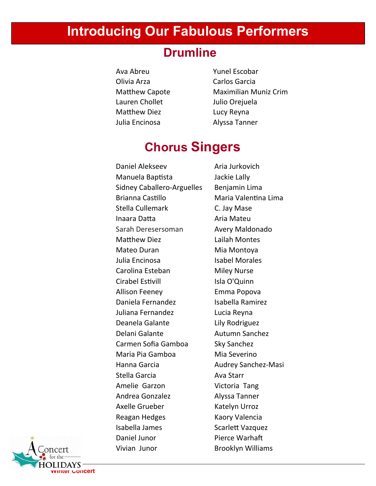# **Introducing Our Fabulous Performers**

# **Drumline**

ǀĂďƌĞƵ zƵŶĞůƐĐŽďĂƌ Olivia Arza **Khuš** Carlos Garcia Lauren Chollet by Julio Orejuela Matthew Diez **Lucy Reyna** Julia Encinosa **industrial de la contra de la contra de la contra de la contra de la contra de la contra de la** 

Matthew Capote Maximilian Muniz Crim

# **Chorus Singers**

Daniel Alekseev **Aria Jurkovich** Manuela Baptista · Jackie Lally Sidney Caballero-Arguelles Benjamin Lima Brianna Castillo Maria Valentina Lima Stella Cullemark C. Jay Mase Inaara Datta **Makamara Datta Xanaara Datta** ah dadka Aria Mateu Sarah Deresersoman **Avery Maldonado** Matthew Diez **Lailah Montes** Mateo Duran Mia Montoya Julia Encinosa (babel Morales Carolina Esteban Miley Nurse Cirabel Estivill in the Isla O'Quinn Allison Feeney **Emma Popova** Daniela Fernandez Maniela Ramirez Juliana Fernandez **Lucia Reyna** Deanela Galante **Lily Rodriguez** Delani Galante **Autumn Sanchez** Carmen Sofia Gamboa Sky Sanchez Maria Pia Gamboa Mia Severino Hanna Garcia **Audrey Sanchez-Masi** ^ƚĞůůĂ'ĂƌĐŝĂ ǀĂ^ƚĂƌƌ Amelie Garzon Victoria Tang Andrea Gonzalez **Alyssa Tanner** Axelle Grueber Katelyn Urroz Reagan Hedges Kaory Valencia Isabella James Scarlett Vazquez Daniel Junor **Branch Warnaft** Vivian Junor **Brooklyn Williams** 

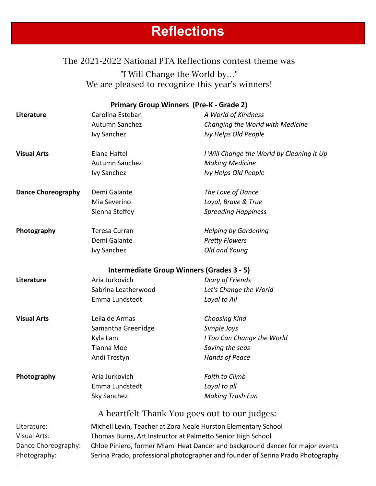# **Reflections**

# The 2021-2022 National PTA Reflections contest theme was "I Will Change the World by…" We are pleased to recognize this year's winners!

|                           |                                                                                | <b>Primary Group Winners (Pre-K - Grade 2)</b>                 |  |
|---------------------------|--------------------------------------------------------------------------------|----------------------------------------------------------------|--|
| Literature                | Carolina Esteban                                                               | A World of Kindness                                            |  |
|                           | Autumn Sanchez                                                                 | Changing the World with Medicine                               |  |
|                           | <b>Ivy Sanchez</b>                                                             | Ivy Helps Old People                                           |  |
| <b>Visual Arts</b>        | Elana Haftel                                                                   | I Will Change the World by Cleaning It Up                      |  |
|                           | Autumn Sanchez                                                                 | <b>Making Medicine</b>                                         |  |
|                           | Ivy Sanchez                                                                    | Ivy Helps Old People                                           |  |
| <b>Dance Choreography</b> | Demi Galante                                                                   | The Love of Dance                                              |  |
|                           | Mia Severino                                                                   | Loyal, Brave & True                                            |  |
|                           | Sienna Steffey                                                                 | <b>Spreading Happiness</b>                                     |  |
| Photography               | <b>Teresa Curran</b>                                                           | <b>Helping by Gardening</b>                                    |  |
|                           | Demi Galante                                                                   | <b>Pretty Flowers</b>                                          |  |
|                           | Ivy Sanchez                                                                    | Old and Young                                                  |  |
|                           |                                                                                | <b>Intermediate Group Winners (Grades 3 - 5)</b>               |  |
| Literature                | Aria Jurkovich                                                                 | <b>Diary of Friends</b>                                        |  |
|                           | Sabrina Leatherwood                                                            | Let's Change the World                                         |  |
|                           | Emma Lundstedt                                                                 | Loyal to All                                                   |  |
| <b>Visual Arts</b>        | Leila de Armas                                                                 | Choosing Kind                                                  |  |
|                           | Samantha Greenidge                                                             | Simple Joys                                                    |  |
|                           | Kyla Lam                                                                       | I Too Can Change the World                                     |  |
|                           | <b>Tianna Moe</b>                                                              | Saving the seas                                                |  |
|                           | Andi Trestyn                                                                   | <b>Hands of Peace</b>                                          |  |
| Photography               | Aria Jurkovich                                                                 | <b>Faith to Climb</b>                                          |  |
|                           | Emma Lundstedt                                                                 | Loyal to all                                                   |  |
|                           | Sky Sanchez                                                                    | <b>Making Trash Fun</b>                                        |  |
|                           |                                                                                | A heartfelt Thank You goes out to our judges:                  |  |
| Literature:               |                                                                                | Michell Levin, Teacher at Zora Neale Hurston Elementary School |  |
| Visual Arts:              | Thomas Burns, Art Instructor at Palmetto Senior High School                    |                                                                |  |
| Dance Choreography:       | Chloe Piniero, former Miami Heat Dancer and background dancer for major events |                                                                |  |
|                           |                                                                                |                                                                |  |

Photography: Serina Prado, professional photographer and founder of Serina Prado Photography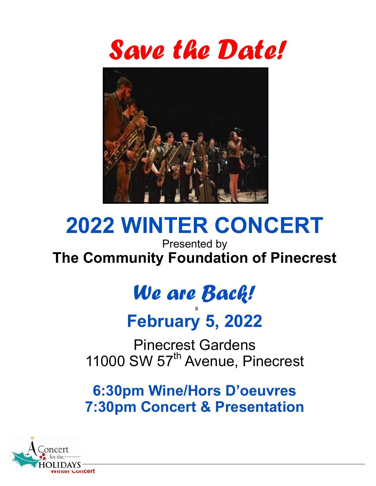



# **2022 WINTER CONCERT**

Presented by The Community Foundation of Pinecrest

# We are Back!

# **February 5, 2022**

**Pinecrest Gardens** 11000 SW 57<sup>th</sup> Avenue, Pinecrest

**6:30pm Wine/Hors D'oeuvres 7:30pm Concert & Presentation** 

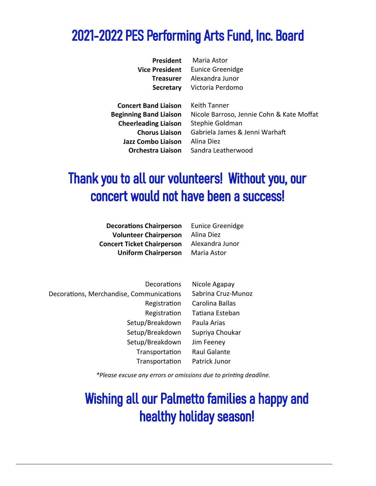# 2021-2022 PES Performing Arts Fund, Inc. Board

| President        |
|------------------|
| Vice President   |
| <b>Treasurer</b> |
| <b>Secretary</b> |

Maria Astor **Eunice Greenidge** Alexandra Junor Victoria Perdomo

**Concert Band Liaison Beginning Band Liaison Cheerleading Liaison Chorus Liaison Jazz Combo Liaison Orchestra Liaison** 

**Keith Tanner** Nicole Barroso, Jennie Cohn & Kate Moffat Stephie Goldman Gabriela James & Jenni Warhaft Alina Diez Sandra Leatherwood

# Thank you to all our volunteers! Without you, our concert would not have been a success!

**Decorations Chairperson Volunteer Chairperson Concert Ticket Chairperson Uniform Chairperson**  **Eunice Greenidge** Alina Diez Alexandra Junor Maria Astor

Decorations Nicole Agapay Sabrina Cruz-Munoz Decorations, Merchandise, Communications Registration Carolina Ballas Registration Tatiana Esteban Setup/Breakdown Paula Arias Setup/Breakdown Supriya Choukar Setup/Breakdown Jim Feenev Transportation Raul Galante Transportation Patrick Junor

\*Please excuse any errors or omissions due to printing deadline.

# **Wishing all our Palmetto families a happy and** healthy holiday season!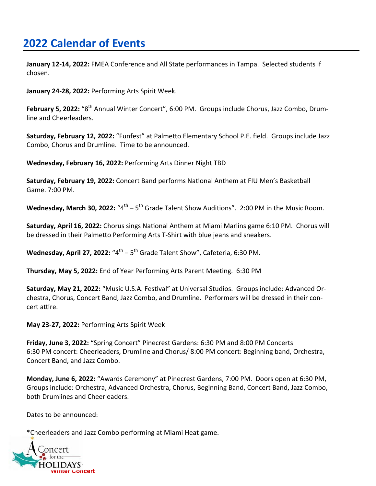# **2022 Calendar of Events**

January 12-14, 2022: FMEA Conference and All State performances in Tampa. Selected students if chosen.

January 24-28, 2022: Performing Arts Spirit Week.

February 5. 2022: "8<sup>th</sup> Annual Winter Concert", 6:00 PM. Groups include Chorus, Jazz Combo, Drumline and Cheerleaders.

Saturday, February 12, 2022: "Funfest" at Palmetto Elementary School P.E. field. Groups include Jazz Combo, Chorus and Drumline. Time to be announced.

Wednesday, February 16, 2022: Performing Arts Dinner Night TBD

Saturday, February 19, 2022: Concert Band performs National Anthem at FIU Men's Basketball Game, 7:00 PM.

**Wednesday, March 30, 2022:** " $4<sup>th</sup> - 5<sup>th</sup>$  Grade Talent Show Auditions". 2:00 PM in the Music Room.

Saturday, April 16, 2022: Chorus sings National Anthem at Miami Marlins game 6:10 PM. Chorus will be dressed in their Palmetto Performing Arts T-Shirt with blue jeans and sneakers.

Wednesday, April 27, 2022: " $4^{\text{th}} - 5^{\text{th}}$  Grade Talent Show", Cafeteria, 6:30 PM.

Thursday, May 5, 2022: End of Year Performing Arts Parent Meeting. 6:30 PM

Saturday, May 21, 2022: "Music U.S.A. Festival" at Universal Studios. Groups include: Advanced Orchestra, Chorus, Concert Band, Jazz Combo, and Drumline. Performers will be dressed in their concert attire.

May 23-27, 2022: Performing Arts Spirit Week

Friday, June 3, 2022: "Spring Concert" Pinecrest Gardens: 6:30 PM and 8:00 PM Concerts 6:30 PM concert: Cheerleaders, Drumline and Chorus/ 8:00 PM concert: Beginning band, Orchestra, Concert Band, and Jazz Combo.

Monday, June 6, 2022: "Awards Ceremony" at Pinecrest Gardens, 7:00 PM. Doors open at 6:30 PM, Groups include: Orchestra, Advanced Orchestra, Chorus, Beginning Band, Concert Band, Jazz Combo, both Drumlines and Cheerleaders.

Dates to be announced:

\*Cheerleaders and Jazz Combo performing at Miami Heat game.